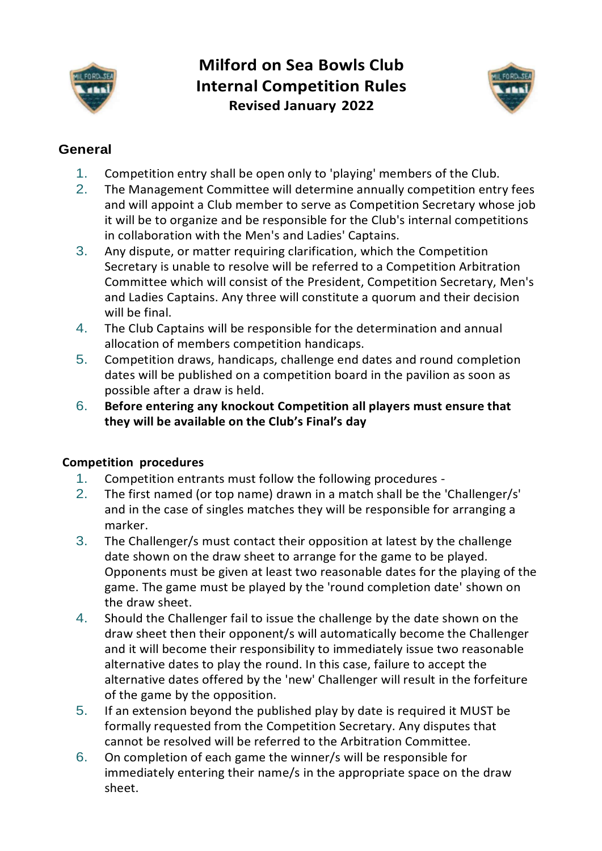

# **Milford on Sea Bowls Club Internal Competition Rules Revised January 2022**



## **General**

- 1. Competition entry shall be open only to 'playing' members of the Club.
- 2. The Management Committee will determine annually competition entry fees and will appoint a Club member to serve as Competition Secretary whose job it will be to organize and be responsible for the Club's internal competitions in collaboration with the Men's and Ladies' Captains.
- 3. Any dispute, or matter requiring clarification, which the Competition Secretary is unable to resolve will be referred to a Competition Arbitration Committee which will consist of the President, Competition Secretary, Men's and Ladies Captains. Any three will constitute a quorum and their decision will be final.
- 4. The Club Captains will be responsible for the determination and annual allocation of members competition handicaps.
- 5. Competition draws, handicaps, challenge end dates and round completion dates will be published on a competition board in the pavilion as soon as possible after a draw is held.
- 6. **Before entering any knockout Competition all players must ensure that they will be available on the Club's Final's day**

### **Competition procedures**

- 1. Competition entrants must follow the following procedures -
- 2. The first named (or top name) drawn in a match shall be the 'Challenger/s' and in the case of singles matches they will be responsible for arranging a marker.
- 3. The Challenger/s must contact their opposition at latest by the challenge date shown on the draw sheet to arrange for the game to be played. Opponents must be given at least two reasonable dates for the playing of the game. The game must be played by the 'round completion date' shown on the draw sheet.
- 4. Should the Challenger fail to issue the challenge by the date shown on the draw sheet then their opponent/s will automatically become the Challenger and it will become their responsibility to immediately issue two reasonable alternative dates to play the round. In this case, failure to accept the alternative dates offered by the 'new' Challenger will result in the forfeiture of the game by the opposition.
- 5. If an extension beyond the published play by date is required it MUST be formally requested from the Competition Secretary. Any disputes that cannot be resolved will be referred to the Arbitration Committee.
- 6. On completion of each game the winner/s will be responsible for immediately entering their name/s in the appropriate space on the draw sheet.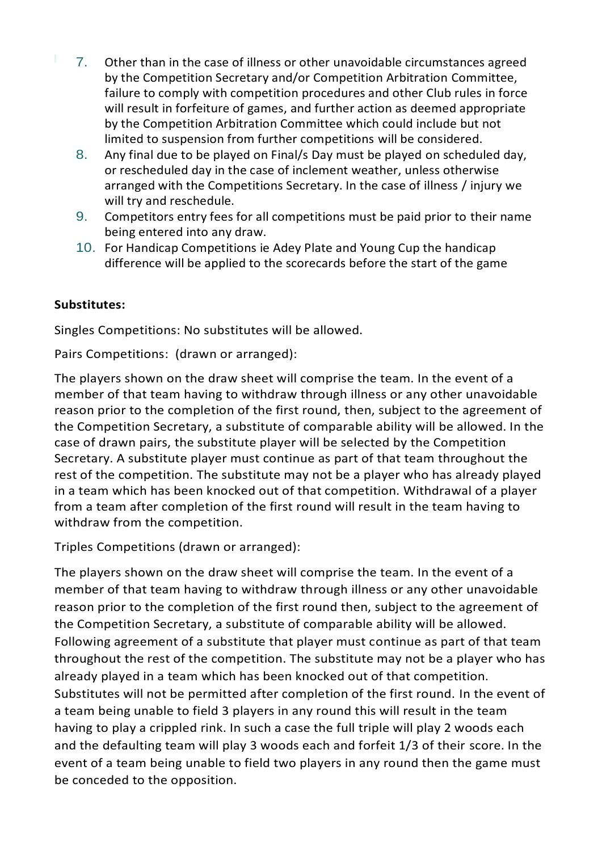- 7. Other than in the case of illness or other unavoidable circumstances agreed by the Competition Secretary and/or Competition Arbitration Committee, failure to comply with competition procedures and other Club rules in force will result in forfeiture of games, and further action as deemed appropriate by the Competition Arbitration Committee which could include but not limited to suspension from further competitions will be considered.
	- 8. Any final due to be played on Final/s Day must be played on scheduled day, or rescheduled day in the case of inclement weather, unless otherwise arranged with the Competitions Secretary. In the case of illness / injury we will try and reschedule.
	- 9. Competitors entry fees for all competitions must be paid prior to their name being entered into any draw.
	- 10. For Handicap Competitions ie Adey Plate and Young Cup the handicap difference will be applied to the scorecards before the start of the game

#### **Substitutes:**

Singles Competitions: No substitutes will be allowed.

Pairs Competitions: (drawn or arranged):

The players shown on the draw sheet will comprise the team. In the event of a member of that team having to withdraw through illness or any other unavoidable reason prior to the completion of the first round, then, subject to the agreement of the Competition Secretary, a substitute of comparable ability will be allowed. In the case of drawn pairs, the substitute player will be selected by the Competition Secretary. A substitute player must continue as part of that team throughout the rest of the competition. The substitute may not be a player who has already played in a team which has been knocked out of that competition. Withdrawal of a player from a team after completion of the first round will result in the team having to withdraw from the competition.

Triples Competitions (drawn or arranged):

The players shown on the draw sheet will comprise the team. In the event of a member of that team having to withdraw through illness or any other unavoidable reason prior to the completion of the first round then, subject to the agreement of the Competition Secretary, a substitute of comparable ability will be allowed. Following agreement of a substitute that player must continue as part of that team throughout the rest of the competition. The substitute may not be a player who has already played in a team which has been knocked out of that competition. Substitutes will not be permitted after completion of the first round. In the event of a team being unable to field 3 players in any round this will result in the team having to play a crippled rink. In such a case the full triple will play 2 woods each and the defaulting team will play 3 woods each and forfeit 1/3 of their score. In the event of a team being unable to field two players in any round then the game must be conceded to the opposition.